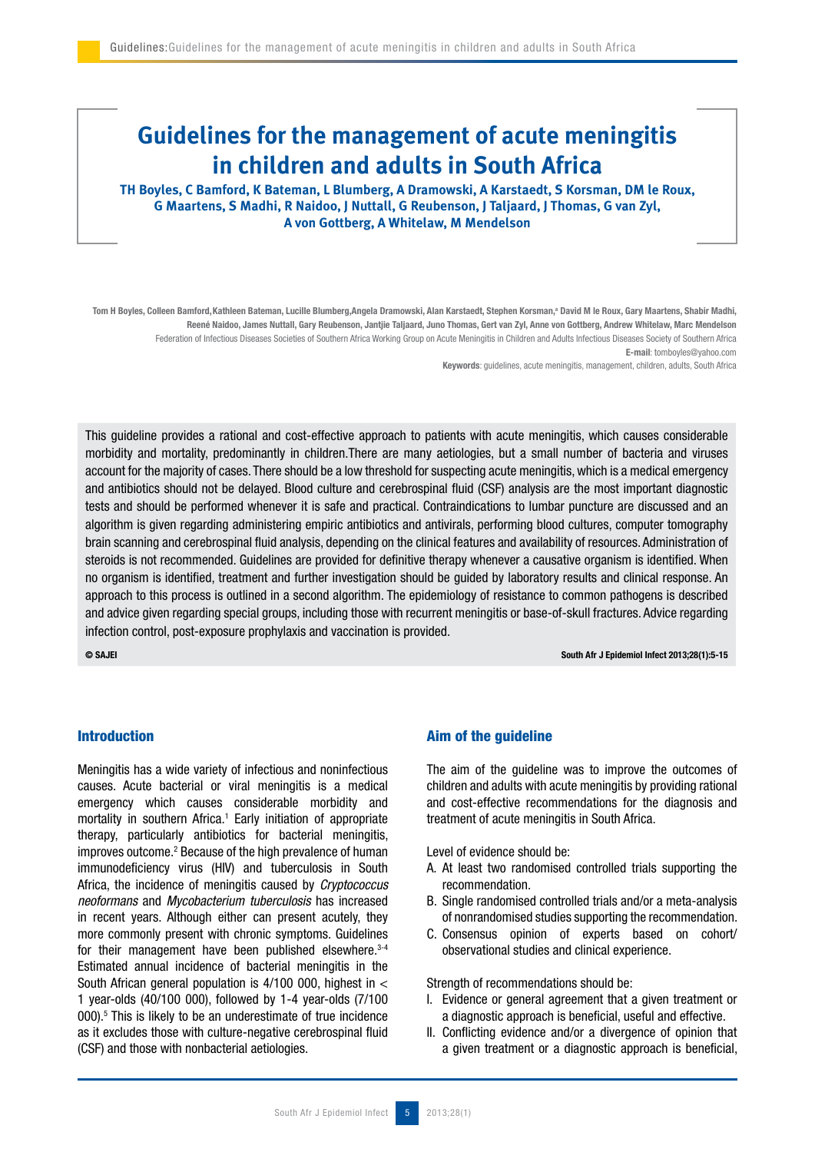# **Guidelines for the management of acute meningitis in children and adults in South Africa**

**TH Boyles, C Bamford, K Bateman, L Blumberg, A Dramowski, A Karstaedt, S Korsman, DM le Roux, G Maartens, S Madhi, R Naidoo, J Nuttall, G Reubenson, J Taljaard, J Thomas, G van Zyl, A von Gottberg, A Whitelaw, M Mendelson**

Tom H Boyles, Colleen Bamford,Kathleen Bateman, Lucille Blumberg,Angela Dramowski, Alan Karstaedt, Stephen Korsman,ª David M le Roux, Gary Maartens, Shabir Madhi, Reené Naidoo, James Nuttall, Gary Reubenson, Jantjie Taljaard, Juno Thomas, Gert van Zyl, Anne von Gottberg, Andrew Whitelaw, Marc Mendelson Federation of Infectious Diseases Societies of Southern Africa Working Group on Acute Meningitis in Children and Adults Infectious Diseases Society of Southern Africa E-mail: tomboyles@yahoo.com

Keywords: guidelines, acute meningitis, management, children, adults, South Africa

This guideline provides a rational and cost-effective approach to patients with acute meningitis, which causes considerable morbidity and mortality, predominantly in children.There are many aetiologies, but a small number of bacteria and viruses account for the majority of cases. There should be a low threshold for suspecting acute meningitis, which is a medical emergency and antibiotics should not be delayed. Blood culture and cerebrospinal fluid (CSF) analysis are the most important diagnostic tests and should be performed whenever it is safe and practical. Contraindications to lumbar puncture are discussed and an algorithm is given regarding administering empiric antibiotics and antivirals, performing blood cultures, computer tomography brain scanning and cerebrospinal fluid analysis, depending on the clinical features and availability of resources. Administration of steroids is not recommended. Guidelines are provided for definitive therapy whenever a causative organism is identified. When no organism is identified, treatment and further investigation should be guided by laboratory results and clinical response. An approach to this process is outlined in a second algorithm. The epidemiology of resistance to common pathogens is described and advice given regarding special groups, including those with recurrent meningitis or base-of-skull fractures. Advice regarding infection control, post-exposure prophylaxis and vaccination is provided.

© SAJEI South Afr J Epidemiol Infect 2013;28(1):5-15

## Introduction

Meningitis has a wide variety of infectious and noninfectious causes. Acute bacterial or viral meningitis is a medical emergency which causes considerable morbidity and mortality in southern Africa.<sup>1</sup> Early initiation of appropriate therapy, particularly antibiotics for bacterial meningitis, improves outcome.<sup>2</sup> Because of the high prevalence of human immunodeficiency virus (HIV) and tuberculosis in South Africa, the incidence of meningitis caused by *Cryptococcus* neoformans and Mycobacterium tuberculosis has increased in recent years. Although either can present acutely, they more commonly present with chronic symptoms. Guidelines for their management have been published elsewhere.<sup>3-4</sup> Estimated annual incidence of bacterial meningitis in the South African general population is 4/100 000, highest in < 1 year-olds (40/100 000), followed by 1-4 year-olds (7/100 000).5 This is likely to be an underestimate of true incidence as it excludes those with culture-negative cerebrospinal fluid (CSF) and those with nonbacterial aetiologies.

## Aim of the guideline

The aim of the guideline was to improve the outcomes of children and adults with acute meningitis by providing rational and cost-effective recommendations for the diagnosis and treatment of acute meningitis in South Africa.

Level of evidence should be:

- A. At least two randomised controlled trials supporting the recommendation.
- B. Single randomised controlled trials and/or a meta-analysis of nonrandomised studies supporting the recommendation.
- C. Consensus opinion of experts based on cohort/ observational studies and clinical experience.

Strength of recommendations should be:

- I. Evidence or general agreement that a given treatment or a diagnostic approach is beneficial, useful and effective.
- II. Conflicting evidence and/or a divergence of opinion that a given treatment or a diagnostic approach is beneficial,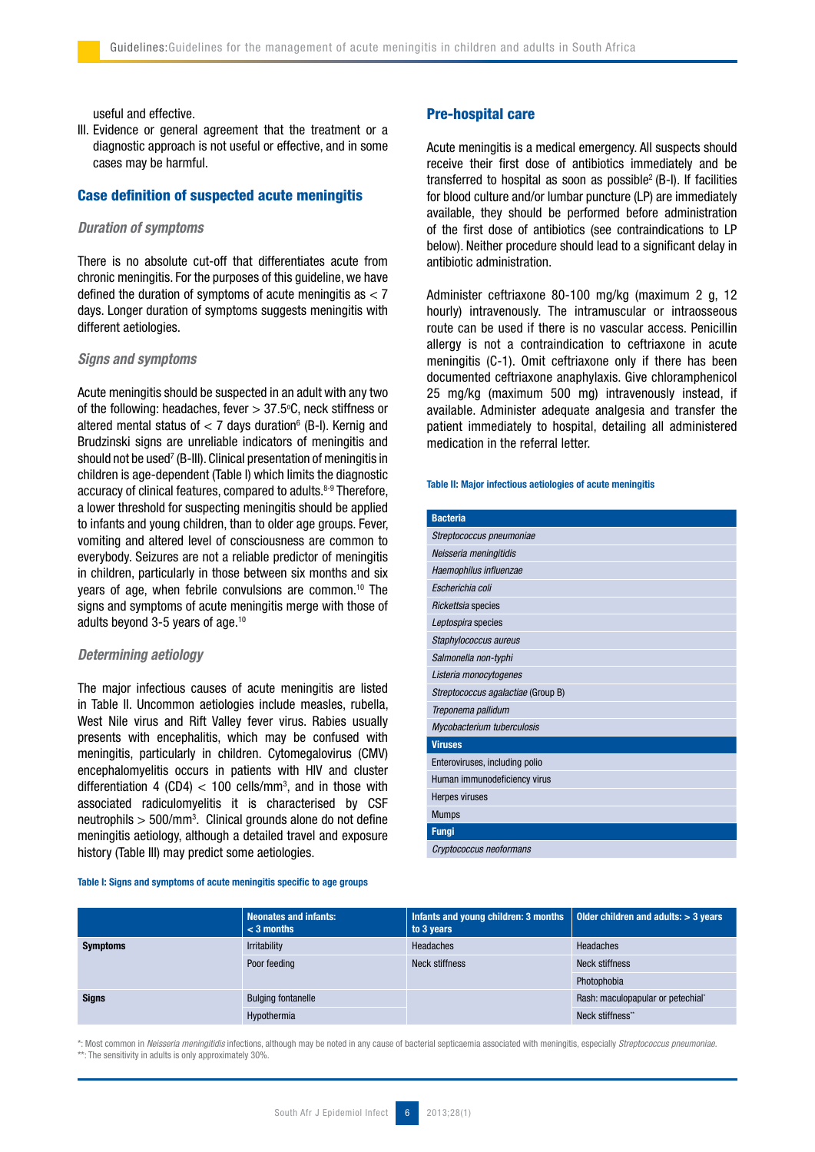useful and effective.

III. Evidence or general agreement that the treatment or a diagnostic approach is not useful or effective, and in some cases may be harmful.

## Case definition of suspected acute meningitis

## Duration of symptoms

There is no absolute cut-off that differentiates acute from chronic meningitis. For the purposes of this guideline, we have defined the duration of symptoms of acute meningitis as  $<$  7 days. Longer duration of symptoms suggests meningitis with different aetiologies.

## Signs and symptoms

Acute meningitis should be suspected in an adult with any two of the following: headaches, fever  $> 37.5$ °C, neck stiffness or altered mental status of  $< 7$  days duration $6$  (B-I). Kernig and Brudzinski signs are unreliable indicators of meningitis and should not be used<sup>7</sup> (B-III). Clinical presentation of meningitis in children is age-dependent (Table I) which limits the diagnostic accuracy of clinical features, compared to adults.<sup>8-9</sup> Therefore, a lower threshold for suspecting meningitis should be applied to infants and young children, than to older age groups. Fever, vomiting and altered level of consciousness are common to everybody. Seizures are not a reliable predictor of meningitis in children, particularly in those between six months and six years of age, when febrile convulsions are common.<sup>10</sup> The signs and symptoms of acute meningitis merge with those of adults beyond 3-5 years of age.10

## Determining aetiology

The major infectious causes of acute meningitis are listed in Table II. Uncommon aetiologies include measles, rubella, West Nile virus and Rift Valley fever virus. Rabies usually presents with encephalitis, which may be confused with meningitis, particularly in children. Cytomegalovirus (CMV) encephalomyelitis occurs in patients with HIV and cluster differentiation 4 (CD4)  $<$  100 cells/mm<sup>3</sup>, and in those with associated radiculomyelitis it is characterised by CSF neutrophils  $>$  500/mm<sup>3</sup>. Clinical grounds alone do not define meningitis aetiology, although a detailed travel and exposure history (Table III) may predict some aetiologies.

#### Table I: Signs and symptoms of acute meningitis specific to age groups

#### Pre-hospital care

Acute meningitis is a medical emergency. All suspects should receive their first dose of antibiotics immediately and be transferred to hospital as soon as possible<sup>2</sup> (B-I). If facilities for blood culture and/or lumbar puncture (LP) are immediately available, they should be performed before administration of the first dose of antibiotics (see contraindications to LP below). Neither procedure should lead to a significant delay in antibiotic administration.

Administer ceftriaxone 80-100 mg/kg (maximum 2 g, 12 hourly) intravenously. The intramuscular or intraosseous route can be used if there is no vascular access. Penicillin allergy is not a contraindication to ceftriaxone in acute meningitis (C-1). Omit ceftriaxone only if there has been documented ceftriaxone anaphylaxis. Give chloramphenicol 25 mg/kg (maximum 500 mg) intravenously instead, if available. Administer adequate analgesia and transfer the patient immediately to hospital, detailing all administered medication in the referral letter.

#### Table II: Major infectious aetiologies of acute meningitis

| <b>Bacteria</b>                    |
|------------------------------------|
| Streptococcus pneumoniae           |
| Neisseria meningitidis             |
| Haemophilus influenzae             |
| Escherichia coli                   |
| Rickettsia species                 |
| Leptospira species                 |
| Staphylococcus aureus              |
| Salmonella non-typhi               |
| Listeria monocytogenes             |
| Streptococcus agalactiae (Group B) |
| Treponema pallidum                 |
| Mycobacterium tuberculosis         |
| <b>Viruses</b>                     |
| Enteroviruses, including polio     |
| Human immunodeficiency virus       |
| Herpes viruses                     |
| <b>Mumps</b>                       |
| <b>Fungi</b>                       |
| Cryptococcus neoformans            |

|                 | <b>Neonates and infants:</b><br>$<$ 3 months | Infants and young children: 3 months $\parallel$ 0lder children and adults: > 3 years<br>to 3 years |                                   |
|-----------------|----------------------------------------------|-----------------------------------------------------------------------------------------------------|-----------------------------------|
| <b>Symptoms</b> | <b>Irritability</b>                          | Headaches                                                                                           | Headaches                         |
|                 | Poor feeding                                 | Neck stiffness                                                                                      | Neck stiffness                    |
|                 |                                              |                                                                                                     | Photophobia                       |
| <b>Signs</b>    | <b>Bulging fontanelle</b>                    |                                                                                                     | Rash: maculopapular or petechial* |
|                 | Hypothermia                                  |                                                                                                     | Neck stiffness"                   |

\*: Most common in Neisseria meningitidis infections, although may be noted in any cause of bacterial septicaemia associated with meningitis, especially Streptococcus pneumoniae. \*\*: The sensitivity in adults is only approximately 30%.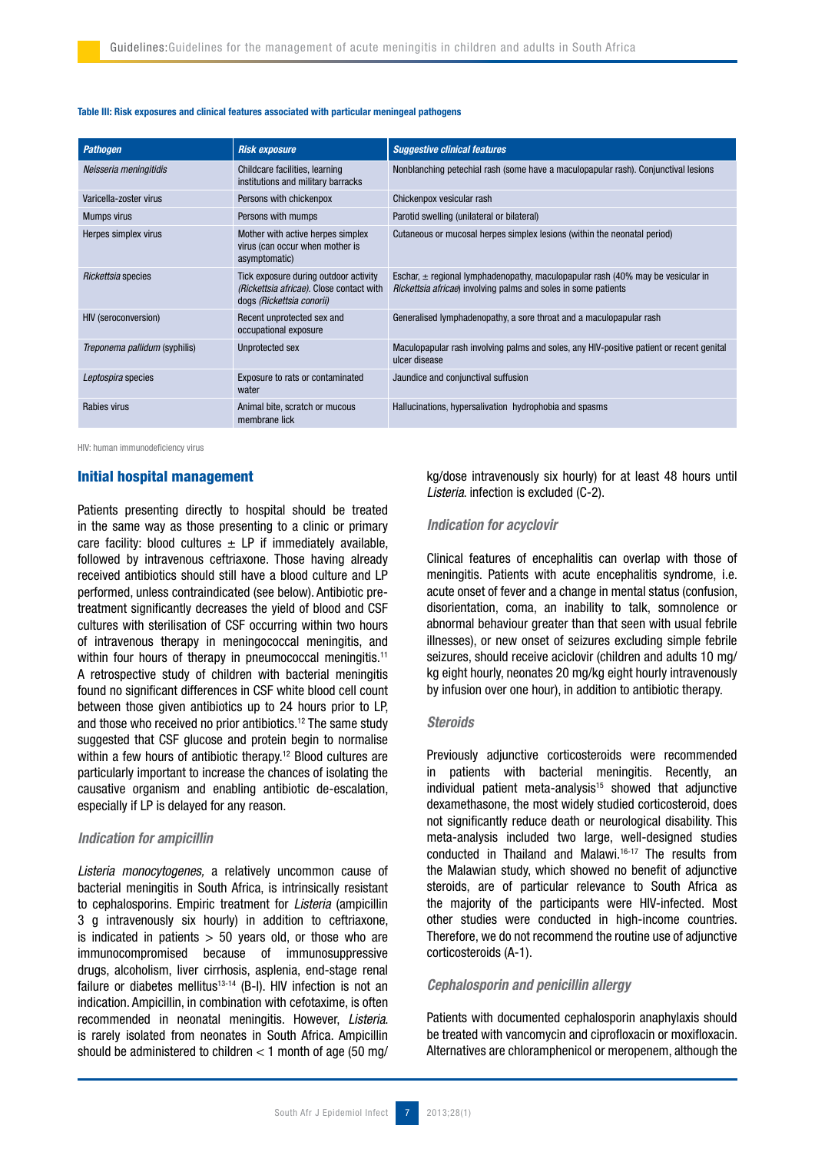#### Table III: Risk exposures and clinical features associated with particular meningeal pathogens

| <b>Pathogen</b>               | <b>Risk exposure</b>                                                                                           | <b>Suggestive clinical features</b>                                                                                                                           |
|-------------------------------|----------------------------------------------------------------------------------------------------------------|---------------------------------------------------------------------------------------------------------------------------------------------------------------|
| Neisseria meningitidis        | Childcare facilities, learning<br>institutions and military barracks                                           | Nonblanching petechial rash (some have a maculopapular rash). Conjunctival lesions                                                                            |
| Varicella-zoster virus        | Persons with chickenpox                                                                                        | Chickenpox vesicular rash                                                                                                                                     |
| <b>Mumps virus</b>            | Persons with mumps                                                                                             | Parotid swelling (unilateral or bilateral)                                                                                                                    |
| Herpes simplex virus          | Mother with active herpes simplex<br>virus (can occur when mother is<br>asymptomatic)                          | Cutaneous or mucosal herpes simplex lesions (within the neonatal period)                                                                                      |
| Rickettsia species            | Tick exposure during outdoor activity<br>(Rickettsia africae). Close contact with<br>dogs (Rickettsia conorii) | Eschar, $\pm$ regional lymphadenopathy, maculopapular rash (40% may be vesicular in<br><i>Rickettsia africae</i> ) involving palms and soles in some patients |
| <b>HIV (seroconversion)</b>   | Recent unprotected sex and<br>occupational exposure                                                            | Generalised lymphadenopathy, a sore throat and a maculopapular rash                                                                                           |
| Treponema pallidum (syphilis) | Unprotected sex                                                                                                | Maculopapular rash involving palms and soles, any HIV-positive patient or recent genital<br>ulcer disease                                                     |
| Leptospira species            | Exposure to rats or contaminated<br>water                                                                      | Jaundice and conjunctival suffusion                                                                                                                           |
| Rabies virus                  | Animal bite, scratch or mucous<br>membrane lick                                                                | Hallucinations, hypersalivation hydrophobia and spasms                                                                                                        |

HIV: human immunodeficiency virus

## Initial hospital management

Patients presenting directly to hospital should be treated in the same way as those presenting to a clinic or primary care facility: blood cultures  $\pm$  LP if immediately available, followed by intravenous ceftriaxone. Those having already received antibiotics should still have a blood culture and LP performed, unless contraindicated (see below). Antibiotic pretreatment significantly decreases the yield of blood and CSF cultures with sterilisation of CSF occurring within two hours of intravenous therapy in meningococcal meningitis, and within four hours of therapy in pneumococcal meningitis.<sup>11</sup> A retrospective study of children with bacterial meningitis found no significant differences in CSF white blood cell count between those given antibiotics up to 24 hours prior to LP, and those who received no prior antibiotics.12 The same study suggested that CSF glucose and protein begin to normalise within a few hours of antibiotic therapy.<sup>12</sup> Blood cultures are particularly important to increase the chances of isolating the causative organism and enabling antibiotic de-escalation, especially if LP is delayed for any reason.

## Indication for ampicillin

Listeria monocytogenes, a relatively uncommon cause of bacterial meningitis in South Africa, is intrinsically resistant to cephalosporins. Empiric treatment for Listeria (ampicillin 3 g intravenously six hourly) in addition to ceftriaxone, is indicated in patients  $> 50$  years old, or those who are immunocompromised because of immunosuppressive drugs, alcoholism, liver cirrhosis, asplenia, end-stage renal failure or diabetes mellitus<sup>13-14</sup> (B-I). HIV infection is not an indication. Ampicillin, in combination with cefotaxime, is often recommended in neonatal meningitis. However, Listeria. is rarely isolated from neonates in South Africa. Ampicillin should be administered to children  $<$  1 month of age (50 mg/ kg/dose intravenously six hourly) for at least 48 hours until Listeria. infection is excluded (C-2).

#### Indication for acyclovir

Clinical features of encephalitis can overlap with those of meningitis. Patients with acute encephalitis syndrome, i.e. acute onset of fever and a change in mental status (confusion, disorientation, coma, an inability to talk, somnolence or abnormal behaviour greater than that seen with usual febrile illnesses), or new onset of seizures excluding simple febrile seizures, should receive aciclovir (children and adults 10 mg/ kg eight hourly, neonates 20 mg/kg eight hourly intravenously by infusion over one hour), in addition to antibiotic therapy.

#### **Steroids**

Previously adjunctive corticosteroids were recommended in patients with bacterial meningitis. Recently, an individual patient meta-analysis $15$  showed that adjunctive dexamethasone, the most widely studied corticosteroid, does not significantly reduce death or neurological disability. This meta-analysis included two large, well-designed studies conducted in Thailand and Malawi.16-17 The results from the Malawian study, which showed no benefit of adjunctive steroids, are of particular relevance to South Africa as the majority of the participants were HIV-infected. Most other studies were conducted in high-income countries. Therefore, we do not recommend the routine use of adjunctive corticosteroids (A-1).

## Cephalosporin and penicillin allergy

Patients with documented cephalosporin anaphylaxis should be treated with vancomycin and ciprofloxacin or moxifloxacin. Alternatives are chloramphenicol or meropenem, although the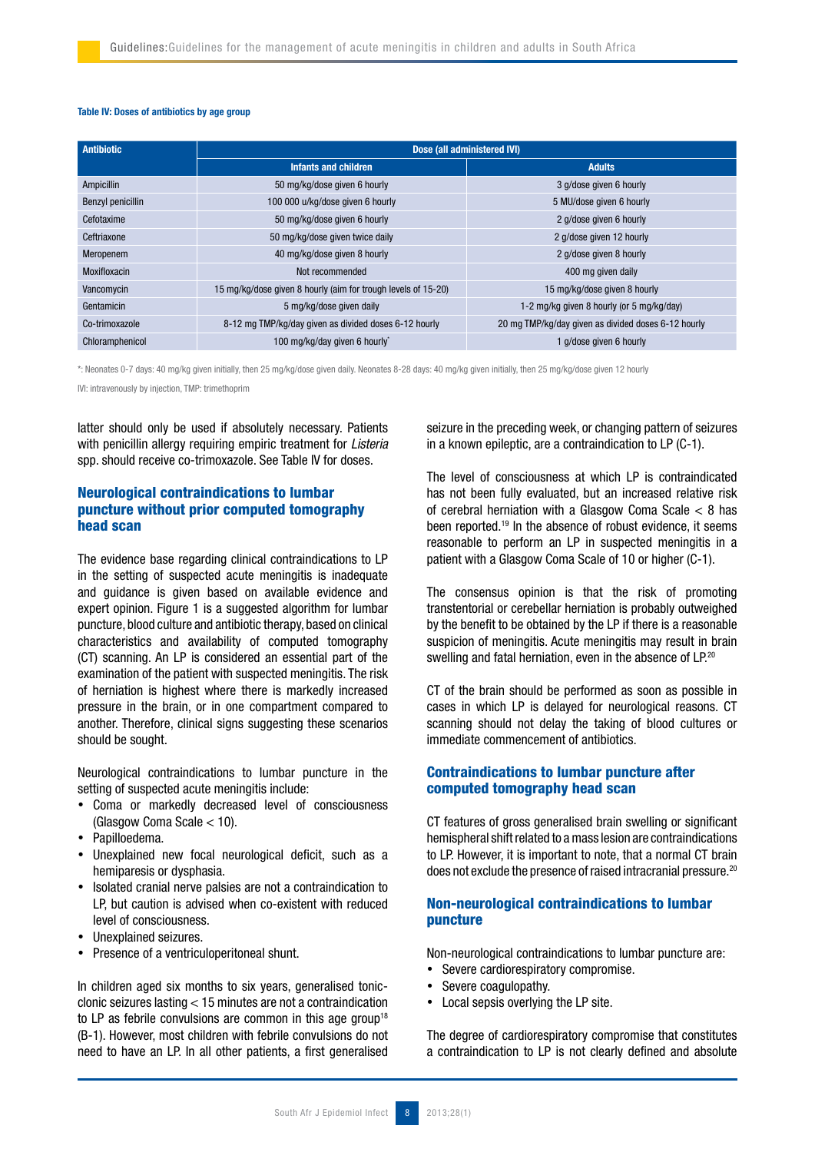## Table IV: Doses of antibiotics by age group

| <b>Antibiotic</b> | Dose (all administered IVI)                                   |                                                     |  |
|-------------------|---------------------------------------------------------------|-----------------------------------------------------|--|
|                   | Infants and children                                          | <b>Adults</b>                                       |  |
| Ampicillin        | 50 mg/kg/dose given 6 hourly                                  | 3 g/dose given 6 hourly                             |  |
| Benzyl penicillin | 100 000 u/kg/dose given 6 hourly<br>5 MU/dose given 6 hourly  |                                                     |  |
| Cefotaxime        | 50 mg/kg/dose given 6 hourly<br>2 g/dose given 6 hourly       |                                                     |  |
| Ceftriaxone       | 50 mg/kg/dose given twice daily                               | 2 g/dose given 12 hourly                            |  |
| Meropenem         | 40 mg/kg/dose given 8 hourly                                  | 2 g/dose given 8 hourly                             |  |
| Moxifloxacin      | Not recommended                                               | 400 mg given daily                                  |  |
| Vancomycin        | 15 mg/kg/dose given 8 hourly (aim for trough levels of 15-20) | 15 mg/kg/dose given 8 hourly                        |  |
| Gentamicin        | 5 mg/kg/dose given daily                                      | 1-2 mg/kg given 8 hourly (or 5 mg/kg/day)           |  |
| Co-trimoxazole    | 8-12 mg TMP/kg/day given as divided doses 6-12 hourly         | 20 mg TMP/kg/day given as divided doses 6-12 hourly |  |
| Chloramphenicol   | 100 mg/kg/day given 6 hourly                                  | 1 g/dose given 6 hourly                             |  |

\*: Neonates 0-7 days: 40 mg/kg given initially, then 25 mg/kg/dose given daily. Neonates 8-28 days: 40 mg/kg given initially, then 25 mg/kg/dose given 12 hourly

IVI: intravenously by injection, TMP: trimethoprim

latter should only be used if absolutely necessary. Patients with penicillin allergy requiring empiric treatment for Listeria spp. should receive co-trimoxazole. See Table IV for doses.

# Neurological contraindications to lumbar puncture without prior computed tomography head scan

The evidence base regarding clinical contraindications to LP in the setting of suspected acute meningitis is inadequate and guidance is given based on available evidence and expert opinion. Figure 1 is a suggested algorithm for lumbar puncture, blood culture and antibiotic therapy, based on clinical characteristics and availability of computed tomography (CT) scanning. An LP is considered an essential part of the examination of the patient with suspected meningitis. The risk of herniation is highest where there is markedly increased pressure in the brain, or in one compartment compared to another. Therefore, clinical signs suggesting these scenarios should be sought.

Neurological contraindications to lumbar puncture in the setting of suspected acute meningitis include:

- Coma or markedly decreased level of consciousness (Glasgow Coma Scale < 10).
- Papilloedema.
- Unexplained new focal neurological deficit, such as a hemiparesis or dysphasia.
- Isolated cranial nerve palsies are not a contraindication to LP, but caution is advised when co-existent with reduced level of consciousness.
- Unexplained seizures.
- Presence of a ventriculoperitoneal shunt.

In children aged six months to six years, generalised tonicclonic seizures lasting < 15 minutes are not a contraindication to LP as febrile convulsions are common in this age group<sup>18</sup> (B-1). However, most children with febrile convulsions do not need to have an LP. In all other patients, a first generalised seizure in the preceding week, or changing pattern of seizures in a known epileptic, are a contraindication to LP (C-1).

The level of consciousness at which LP is contraindicated has not been fully evaluated, but an increased relative risk of cerebral herniation with a Glasgow Coma Scale < 8 has been reported.19 In the absence of robust evidence, it seems reasonable to perform an LP in suspected meningitis in a patient with a Glasgow Coma Scale of 10 or higher (C-1).

The consensus opinion is that the risk of promoting transtentorial or cerebellar herniation is probably outweighed by the benefit to be obtained by the LP if there is a reasonable suspicion of meningitis. Acute meningitis may result in brain swelling and fatal herniation, even in the absence of LP.<sup>20</sup>

CT of the brain should be performed as soon as possible in cases in which LP is delayed for neurological reasons. CT scanning should not delay the taking of blood cultures or immediate commencement of antibiotics.

# Contraindications to lumbar puncture after computed tomography head scan

CT features of gross generalised brain swelling or significant hemispheral shift related to a mass lesion are contraindications to LP. However, it is important to note, that a normal CT brain does not exclude the presence of raised intracranial pressure.20

# Non-neurological contraindications to lumbar puncture

Non-neurological contraindications to lumbar puncture are:

- Severe cardiorespiratory compromise.
- Severe coagulopathy.
- Local sepsis overlying the LP site.

The degree of cardiorespiratory compromise that constitutes a contraindication to LP is not clearly defined and absolute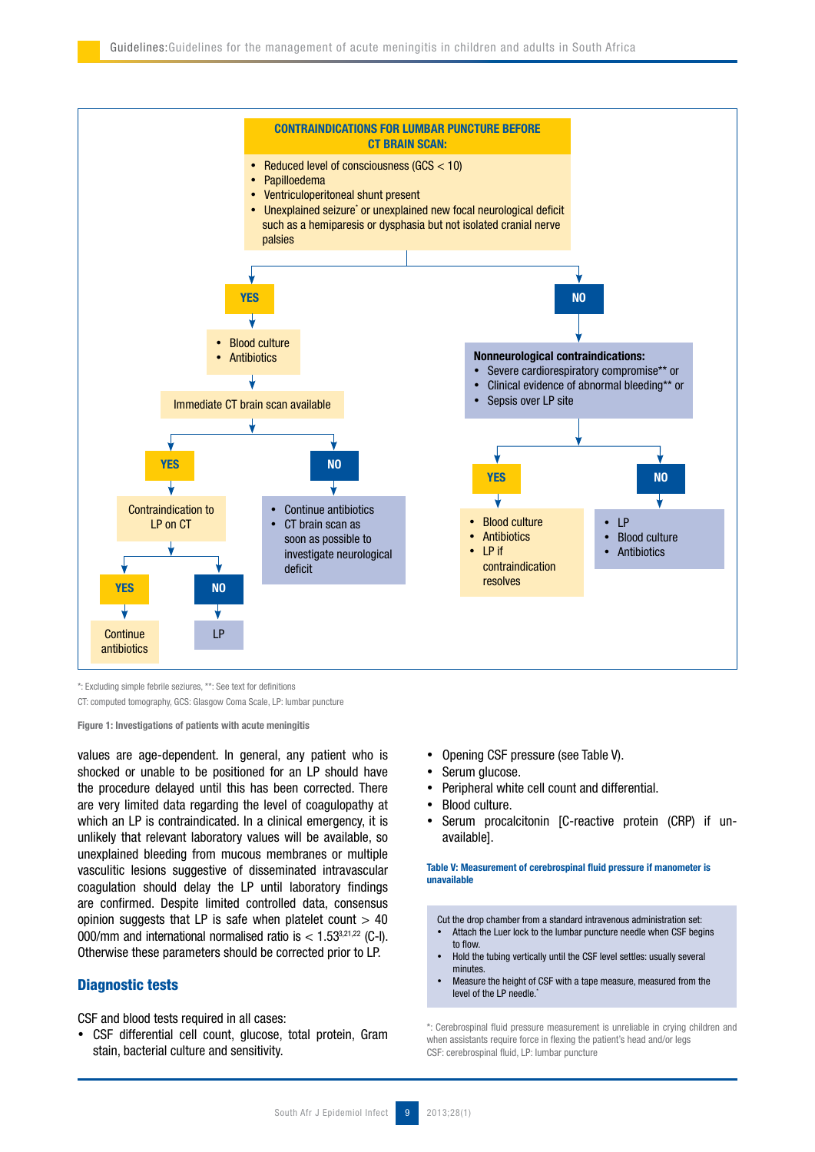

\*: Excluding simple febrile seziures, \*\*: See text for definitions

CT: computed tomography, GCS: Glasgow Coma Scale, LP: lumbar puncture

Figure 1: Investigations of patients with acute meningitis

values are age-dependent. In general, any patient who is shocked or unable to be positioned for an LP should have the procedure delayed until this has been corrected. There are very limited data regarding the level of coagulopathy at which an LP is contraindicated. In a clinical emergency, it is unlikely that relevant laboratory values will be available, so unexplained bleeding from mucous membranes or multiple vasculitic lesions suggestive of disseminated intravascular coagulation should delay the LP until laboratory findings are confirmed. Despite limited controlled data, consensus opinion suggests that LP is safe when platelet count  $> 40$ 000/mm and international normalised ratio is  $< 1.53^{3,21,22}$  (C-I). Otherwise these parameters should be corrected prior to LP.

## Diagnostic tests

CSF and blood tests required in all cases:

• CSF differential cell count, glucose, total protein, Gram stain, bacterial culture and sensitivity.

- Opening CSF pressure (see Table V).
- Serum glucose.
- !" Peripheral white cell count and differential.
- Blood culture.
- Serum procalcitonin [C-reactive protein (CRP) if unavailable].

Table V: Measurement of cerebrospinal fluid pressure if manometer is unavailable

Cut the drop chamber from a standard intravenous administration set: Attach the Luer lock to the lumbar puncture needle when CSF begins

- to flow. !" Hold the tubing vertically until the CSF level settles: usually several
- minutes. Measure the height of CSF with a tape measure, measured from the level of the LP needle.<sup>\*</sup>

\*: Cerebrospinal fluid pressure measurement is unreliable in crying children and when assistants require force in flexing the patient's head and/or legs CSF: cerebrospinal fluid, LP: lumbar puncture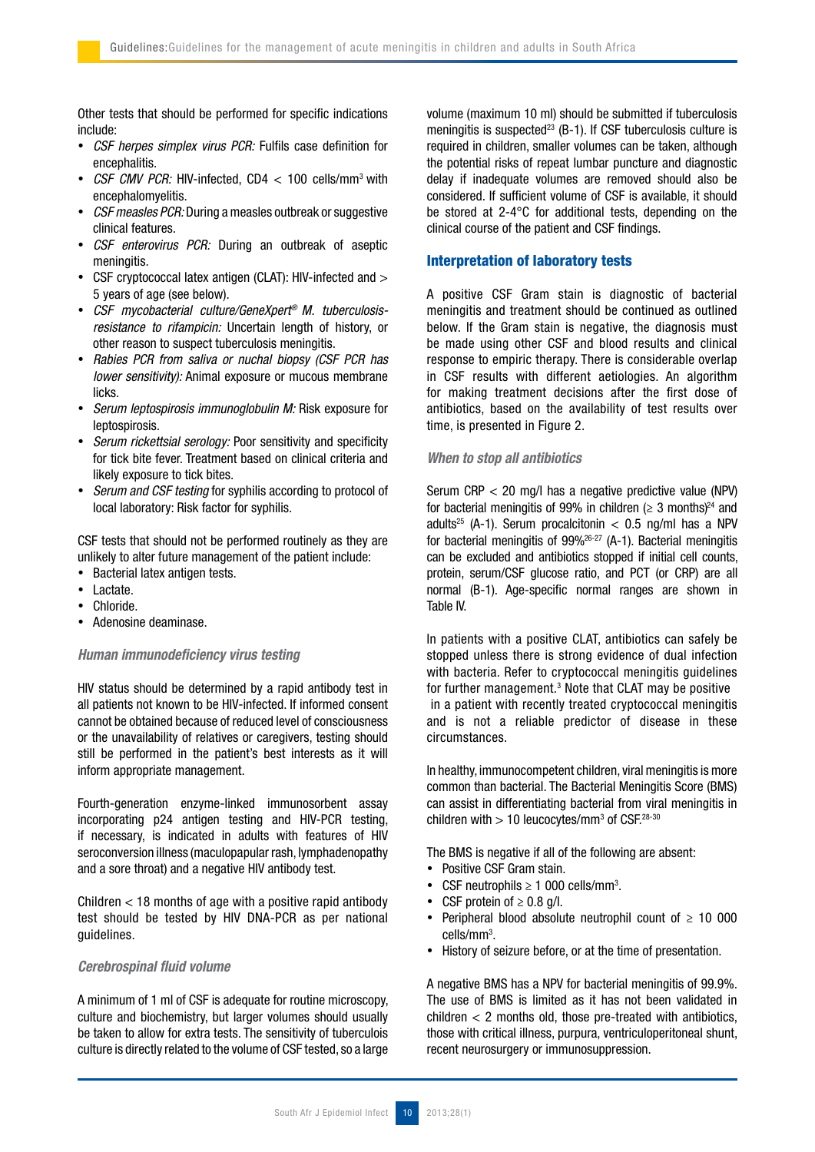Other tests that should be performed for specific indications include:

- . CSF herpes simplex virus PCR: Fulfils case definition for encephalitis.
- CSF CMV PCR: HIV-infected, CD4 < 100 cells/mm<sup>3</sup> with encephalomyelitis.
- CSF measles PCR: During a measles outbreak or suggestive clinical features.
- CSF enterovirus PCR: During an outbreak of aseptic meningitis.
- CSF cryptococcal latex antigen (CLAT): HIV-infected and > 5 years of age (see below).
- !" CSF mycobacterial culture/GeneXpert® M. tuberculosisresistance to rifampicin: Uncertain length of history, or other reason to suspect tuberculosis meningitis.
- Rabies PCR from saliva or nuchal biopsy (CSF PCR has lower sensitivity): Animal exposure or mucous membrane licks.
- Serum leptospirosis immunoglobulin M: Risk exposure for leptospirosis.
- Serum rickettsial serology: Poor sensitivity and specificity for tick bite fever. Treatment based on clinical criteria and likely exposure to tick bites.
- Serum and CSF testing for syphilis according to protocol of local laboratory: Risk factor for syphilis.

CSF tests that should not be performed routinely as they are unlikely to alter future management of the patient include:

- Bacterial latex antigen tests.
- Lactate.
- Chloride.
- Adenosine deaminase.

## Human immunodeficiency virus testing

HIV status should be determined by a rapid antibody test in all patients not known to be HIV-infected. If informed consent cannot be obtained because of reduced level of consciousness or the unavailability of relatives or caregivers, testing should still be performed in the patient's best interests as it will inform appropriate management.

Fourth-generation enzyme-linked immunosorbent assay incorporating p24 antigen testing and HIV-PCR testing, if necessary, is indicated in adults with features of HIV seroconversion illness (maculopapular rash, lymphadenopathy and a sore throat) and a negative HIV antibody test.

Children < 18 months of age with a positive rapid antibody test should be tested by HIV DNA-PCR as per national guidelines.

## Cerebrospinal fluid volume

A minimum of 1 ml of CSF is adequate for routine microscopy, culture and biochemistry, but larger volumes should usually be taken to allow for extra tests. The sensitivity of tuberculois culture is directly related to the volume of CSF tested, so a large volume (maximum 10 ml) should be submitted if tuberculosis meningitis is suspected<sup>23</sup> (B-1). If CSF tuberculosis culture is required in children, smaller volumes can be taken, although the potential risks of repeat lumbar puncture and diagnostic delay if inadequate volumes are removed should also be considered. If sufficient volume of CSF is available, it should be stored at 2-4°C for additional tests, depending on the clinical course of the patient and CSF findings.

# Interpretation of laboratory tests

A positive CSF Gram stain is diagnostic of bacterial meningitis and treatment should be continued as outlined below. If the Gram stain is negative, the diagnosis must be made using other CSF and blood results and clinical response to empiric therapy. There is considerable overlap in CSF results with different aetiologies. An algorithm for making treatment decisions after the first dose of antibiotics, based on the availability of test results over time, is presented in Figure 2.

## When to stop all antibiotics

Serum CRP < 20 mg/l has a negative predictive value (NPV) for bacterial meningitis of 99% in children ( $\geq$  3 months)<sup>24</sup> and adults<sup>25</sup> (A-1). Serum procalcitonin  $<$  0.5 ng/ml has a NPV for bacterial meningitis of 99%26-27 (A-1). Bacterial meningitis can be excluded and antibiotics stopped if initial cell counts, protein, serum/CSF glucose ratio, and PCT (or CRP) are all normal (B-1). Age-specific normal ranges are shown in Table IV.

In patients with a positive CLAT, antibiotics can safely be stopped unless there is strong evidence of dual infection with bacteria. Refer to cryptococcal meningitis guidelines for further management.<sup>3</sup> Note that CLAT may be positive in a patient with recently treated cryptococcal meningitis and is not a reliable predictor of disease in these circumstances.

In healthy, immunocompetent children, viral meningitis is more common than bacterial. The Bacterial Meningitis Score (BMS) can assist in differentiating bacterial from viral meningitis in children with  $> 10$  leucocytes/mm<sup>3</sup> of CSF.<sup>28-30</sup>

The BMS is negative if all of the following are absent:

- Positive CSF Gram stain.
- CSF neutrophils  $\geq 1$  000 cells/mm<sup>3</sup>.
- CSF protein of  $\geq 0.8$  g/l.
- Peripheral blood absolute neutrophil count of  $\geq 10000$ cells/mm3 .
- History of seizure before, or at the time of presentation.

A negative BMS has a NPV for bacterial meningitis of 99.9%. The use of BMS is limited as it has not been validated in  $children < 2$  months old, those pre-treated with antibiotics, those with critical illness, purpura, ventriculoperitoneal shunt, recent neurosurgery or immunosuppression.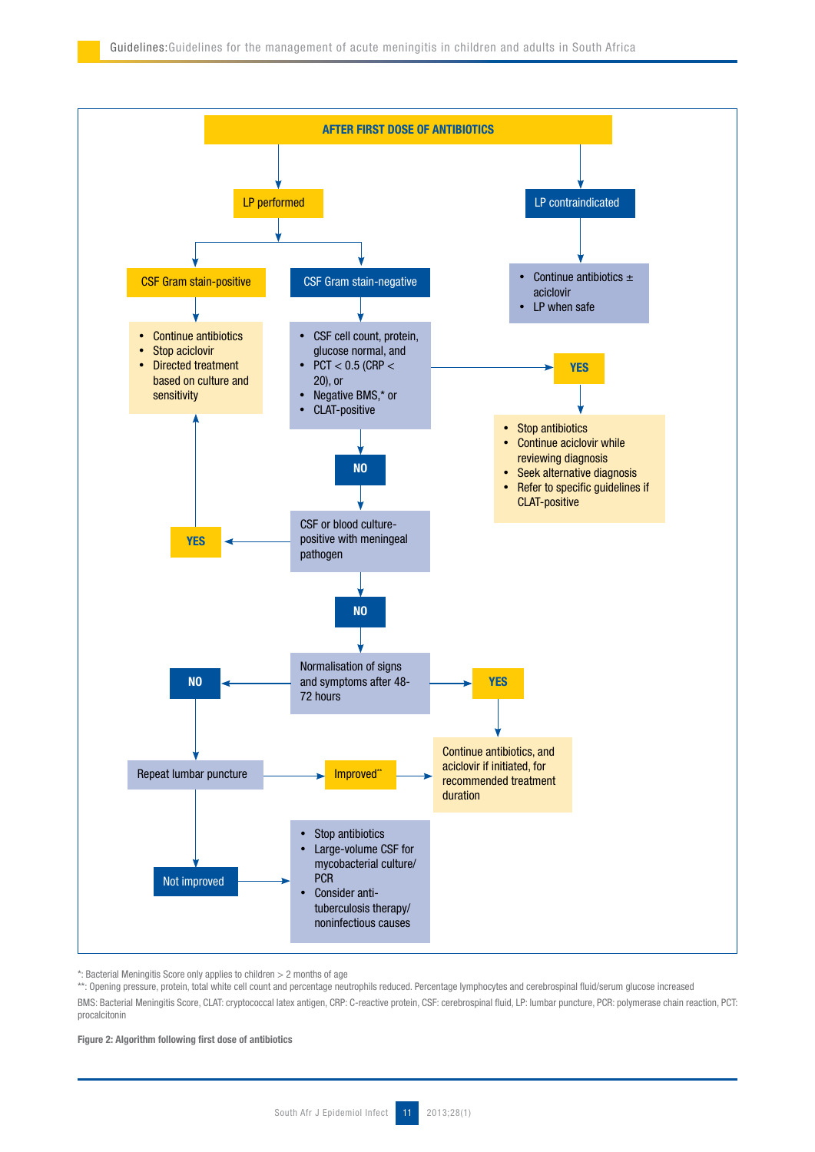

\*: Bacterial Meningitis Score only applies to children > 2 months of age

\*\*: Opening pressure, protein, total white cell count and percentage neutrophils reduced. Percentage lymphocytes and cerebrospinal fluid/serum glucose increased BMS: Bacterial Meningitis Score, CLAT: cryptococcal latex antigen, CRP: C-reactive protein, CSF: cerebrospinal fluid, LP: lumbar puncture, PCR: polymerase chain reaction, PCT: procalcitonin

Figure 2: Algorithm following first dose of antibiotics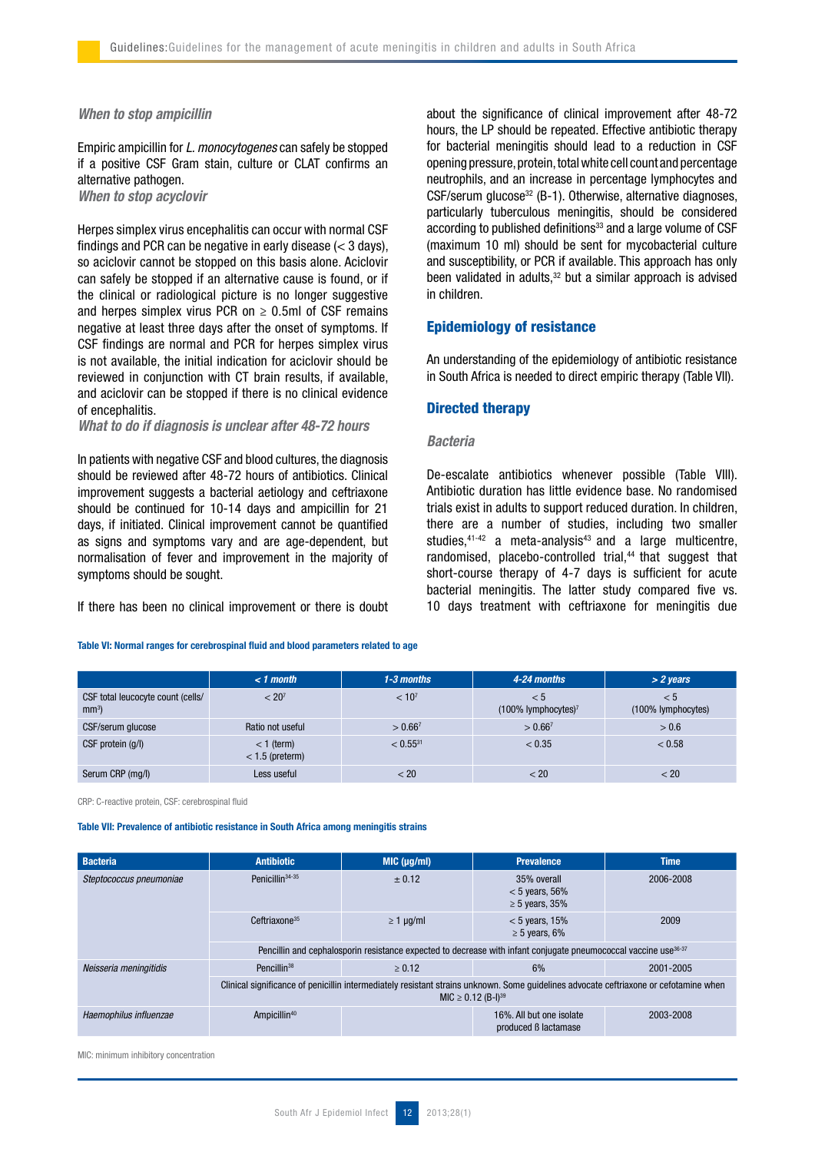## When to stop ampicillin

Empiric ampicillin for L. monocytogenes can safely be stopped if a positive CSF Gram stain, culture or CLAT confirms an alternative pathogen.

When to stop acyclovir

Herpes simplex virus encephalitis can occur with normal CSF findings and PCR can be negative in early disease  $(< 3$  days). so aciclovir cannot be stopped on this basis alone. Aciclovir can safely be stopped if an alternative cause is found, or if the clinical or radiological picture is no longer suggestive and herpes simplex virus PCR on  $\geq$  0.5ml of CSF remains negative at least three days after the onset of symptoms. If CSF findings are normal and PCR for herpes simplex virus is not available, the initial indication for aciclovir should be reviewed in conjunction with CT brain results, if available, and aciclovir can be stopped if there is no clinical evidence of encephalitis.

What to do if diagnosis is unclear after 48-72 hours

In patients with negative CSF and blood cultures, the diagnosis should be reviewed after 48-72 hours of antibiotics. Clinical improvement suggests a bacterial aetiology and ceftriaxone should be continued for 10-14 days and ampicillin for 21 days, if initiated. Clinical improvement cannot be quantified as signs and symptoms vary and are age-dependent, but normalisation of fever and improvement in the majority of symptoms should be sought.

If there has been no clinical improvement or there is doubt

Table VI: Normal ranges for cerebrospinal fluid and blood parameters related to age

about the significance of clinical improvement after 48-72 hours, the LP should be repeated. Effective antibiotic therapy for bacterial meningitis should lead to a reduction in CSF opening pressure, protein, total white cell count and percentage neutrophils, and an increase in percentage lymphocytes and CSF/serum glucose<sup>32</sup> (B-1). Otherwise, alternative diagnoses, particularly tuberculous meningitis, should be considered according to published definitions<sup>33</sup> and a large volume of CSF (maximum 10 ml) should be sent for mycobacterial culture and susceptibility, or PCR if available. This approach has only been validated in adults, $32$  but a similar approach is advised in children.

# Epidemiology of resistance

An understanding of the epidemiology of antibiotic resistance in South Africa is needed to direct empiric therapy (Table VII).

## Directed therapy

# Bacteria

De-escalate antibiotics whenever possible (Table VIII). Antibiotic duration has little evidence base. No randomised trials exist in adults to support reduced duration. In children, there are a number of studies, including two smaller studies, $41-42$  a meta-analysis<sup>43</sup> and a large multicentre, randomised, placebo-controlled trial,<sup>44</sup> that suggest that short-course therapy of 4-7 days is sufficient for acute bacterial meningitis. The latter study compared five vs. 10 days treatment with ceftriaxone for meningitis due

|                                              | $< 1$ month                       | 1-3 months        | 4-24 months                               | $> 2$ years               |
|----------------------------------------------|-----------------------------------|-------------------|-------------------------------------------|---------------------------|
| CSF total leucocyte count (cells/<br>$mm3$ ) | < 20 <sup>7</sup>                 | < 10 <sup>7</sup> | < 5<br>$(100\%$ lymphocytes) <sup>7</sup> | < 5<br>(100% lymphocytes) |
| CSF/serum glucose                            | Ratio not useful                  | $> 0.66^7$        | $> 0.66^7$                                | > 0.6                     |
| CSF protein (g/l)                            | $<$ 1 (term)<br>$<$ 1.5 (preterm) | $< 0.55^{31}$     | < 0.35                                    | < 0.58                    |
| Serum CRP (mg/l)                             | Less useful                       | < 20              | < 20                                      | < 20                      |

CRP: C-reactive protein, CSF: cerebrospinal fluid

Table VII: Prevalence of antibiotic resistance in South Africa among meningitis strains

| <b>Bacteria</b>         | <b>Antibiotic</b>                                                                                                                                                  | MIC (µg/ml)    | <b>Prevalence</b>                                       | <b>Time</b> |  |
|-------------------------|--------------------------------------------------------------------------------------------------------------------------------------------------------------------|----------------|---------------------------------------------------------|-------------|--|
| Steptococcus pneumoniae | Penicillin <sup>34-35</sup>                                                                                                                                        | $\pm$ 0.12     | 35% overall<br>$< 5$ years, 56%<br>$\geq 5$ years, 35%  | 2006-2008   |  |
|                         | $C$ eftriaxone <sup>35</sup>                                                                                                                                       | $\geq 1$ µg/ml | $< 5$ years, 15%<br>$\geq 5$ years, 6%                  | 2009        |  |
|                         | Pencillin and cephalosporin resistance expected to decrease with infant conjugate pneumococcal vaccine use <sup>36-37</sup>                                        |                |                                                         |             |  |
| Neisseria meningitidis  | Pencillin <sup>38</sup>                                                                                                                                            | $\ge 0.12$     | 6%                                                      | 2001-2005   |  |
|                         | Clinical significance of penicillin intermediately resistant strains unknown. Some guidelines advocate ceftriaxone or cefotamine when<br>$MIC \ge 0.12 (B-I)^{39}$ |                |                                                         |             |  |
| Haemophilus influenzae  | Ampicillin <sup>40</sup>                                                                                                                                           |                | 16%. All but one isolate<br>produced <b>B</b> lactamase | 2003-2008   |  |

MIC: minimum inhibitory concentration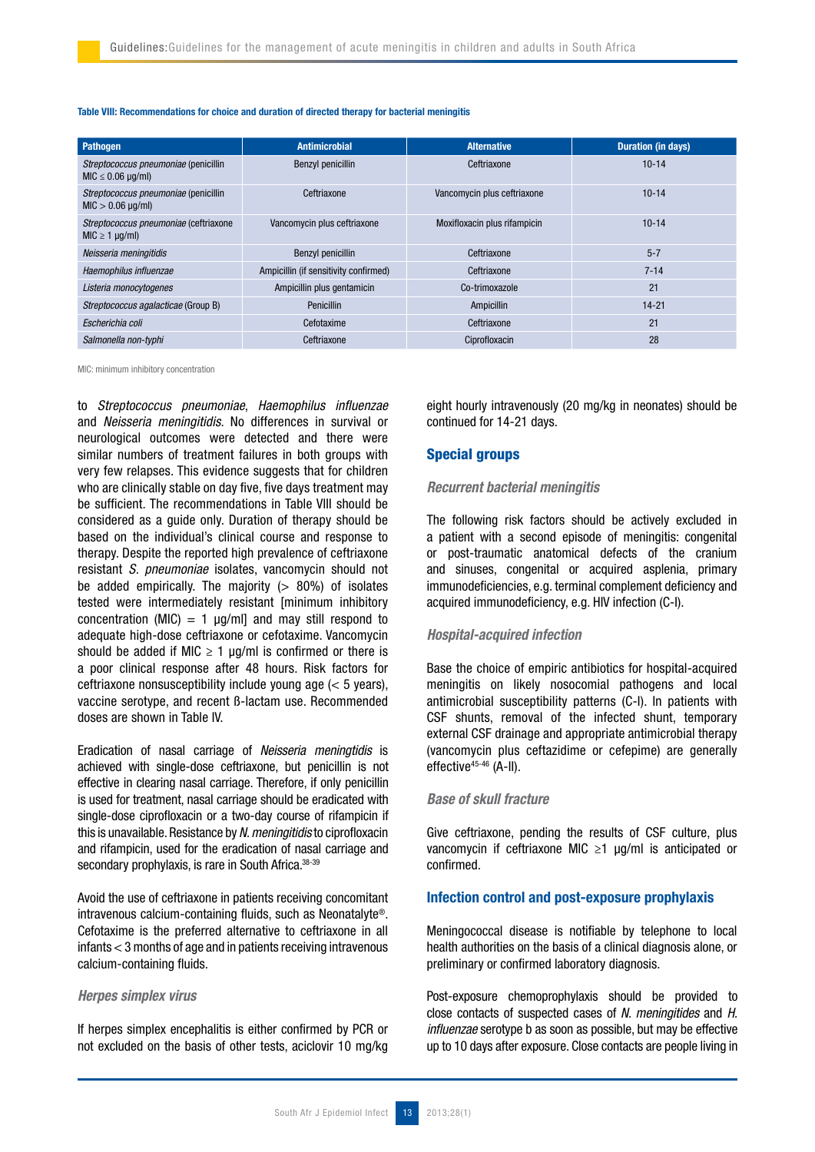#### Table VIII: Recommendations for choice and duration of directed therapy for bacterial meningitis

| Pathogen                                                         | <b>Antimicrobial</b>                       | <b>Alternative</b>           | <b>Duration (in days)</b> |
|------------------------------------------------------------------|--------------------------------------------|------------------------------|---------------------------|
| Streptococcus pneumoniae (penicillin<br>$MIC \leq 0.06 \mu q/ml$ | Benzyl penicillin                          | Ceftriaxone                  | $10 - 14$                 |
| Streptococcus pneumoniae (penicillin<br>$MIC > 0.06 \mu q/ml$    | Vancomycin plus ceftriaxone<br>Ceftriaxone |                              | $10 - 14$                 |
| Streptococcus pneumoniae (ceftriaxone<br>$MIC \geq 1 \mu q/ml$   | Vancomycin plus ceftriaxone                | Moxifloxacin plus rifampicin | $10 - 14$                 |
| Neisseria meningitidis                                           | Benzyl penicillin                          | Ceftriaxone                  | $5 - 7$                   |
| Haemophilus influenzae                                           | Ampicillin (if sensitivity confirmed)      | Ceftriaxone                  | $7 - 14$                  |
| Listeria monocytogenes                                           | Ampicillin plus gentamicin                 | Co-trimoxazole               | 21                        |
| Streptococcus agalacticae (Group B)                              | <b>Penicillin</b>                          | Ampicillin                   | $14 - 21$                 |
| Escherichia coli                                                 | Cefotaxime                                 | Ceftriaxone                  | 21                        |
| Salmonella non-typhi                                             | Ceftriaxone                                | Ciprofloxacin                | 28                        |

MIC: minimum inhibitory concentration

to Streptococcus pneumoniae, Haemophilus influenzae and Neisseria meningitidis. No differences in survival or neurological outcomes were detected and there were similar numbers of treatment failures in both groups with very few relapses. This evidence suggests that for children who are clinically stable on day five, five days treatment may be sufficient. The recommendations in Table VIII should be considered as a guide only. Duration of therapy should be based on the individual's clinical course and response to therapy. Despite the reported high prevalence of ceftriaxone resistant S. pneumoniae isolates, vancomycin should not be added empirically. The majority  $(> 80\%)$  of isolates tested were intermediately resistant [minimum inhibitory concentration (MIC) = 1  $\mu$ g/ml] and may still respond to adequate high-dose ceftriaxone or cefotaxime. Vancomycin should be added if MIC  $\geq 1$  µg/ml is confirmed or there is a poor clinical response after 48 hours. Risk factors for ceftriaxone nonsusceptibility include young age (< 5 years), vaccine serotype, and recent ß-lactam use. Recommended doses are shown in Table IV.

Eradication of nasal carriage of Neisseria meningtidis is achieved with single-dose ceftriaxone, but penicillin is not effective in clearing nasal carriage. Therefore, if only penicillin is used for treatment, nasal carriage should be eradicated with single-dose ciprofloxacin or a two-day course of rifampicin if this is unavailable. Resistance by N. meningitidis to ciprofloxacin and rifampicin, used for the eradication of nasal carriage and secondary prophylaxis, is rare in South Africa.<sup>38-39</sup>

Avoid the use of ceftriaxone in patients receiving concomitant intravenous calcium-containing fluids, such as Neonatalyte®. Cefotaxime is the preferred alternative to ceftriaxone in all infants < 3 months of age and in patients receiving intravenous calcium-containing fluids.

# Herpes simplex virus

If herpes simplex encephalitis is either confirmed by PCR or not excluded on the basis of other tests, aciclovir 10 mg/kg eight hourly intravenously (20 mg/kg in neonates) should be continued for 14-21 days.

# Special groups

## Recurrent bacterial meningitis

The following risk factors should be actively excluded in a patient with a second episode of meningitis: congenital or post-traumatic anatomical defects of the cranium and sinuses, congenital or acquired asplenia, primary immunodeficiencies, e.g. terminal complement deficiency and acquired immunodeficiency, e.g. HIV infection (C-I).

# Hospital-acquired infection

Base the choice of empiric antibiotics for hospital-acquired meningitis on likely nosocomial pathogens and local antimicrobial susceptibility patterns (C-I). In patients with CSF shunts, removal of the infected shunt, temporary external CSF drainage and appropriate antimicrobial therapy (vancomycin plus ceftazidime or cefepime) are generally effective45-46 (A-II).

# Base of skull fracture

Give ceftriaxone, pending the results of CSF culture, plus vancomycin if ceftriaxone MIC ≥1 µg/ml is anticipated or confirmed.

# Infection control and post-exposure prophylaxis

Meningococcal disease is notifiable by telephone to local health authorities on the basis of a clinical diagnosis alone, or preliminary or confirmed laboratory diagnosis.

Post-exposure chemoprophylaxis should be provided to close contacts of suspected cases of N. meningitides and H. influenzae serotype b as soon as possible, but may be effective up to 10 days after exposure. Close contacts are people living in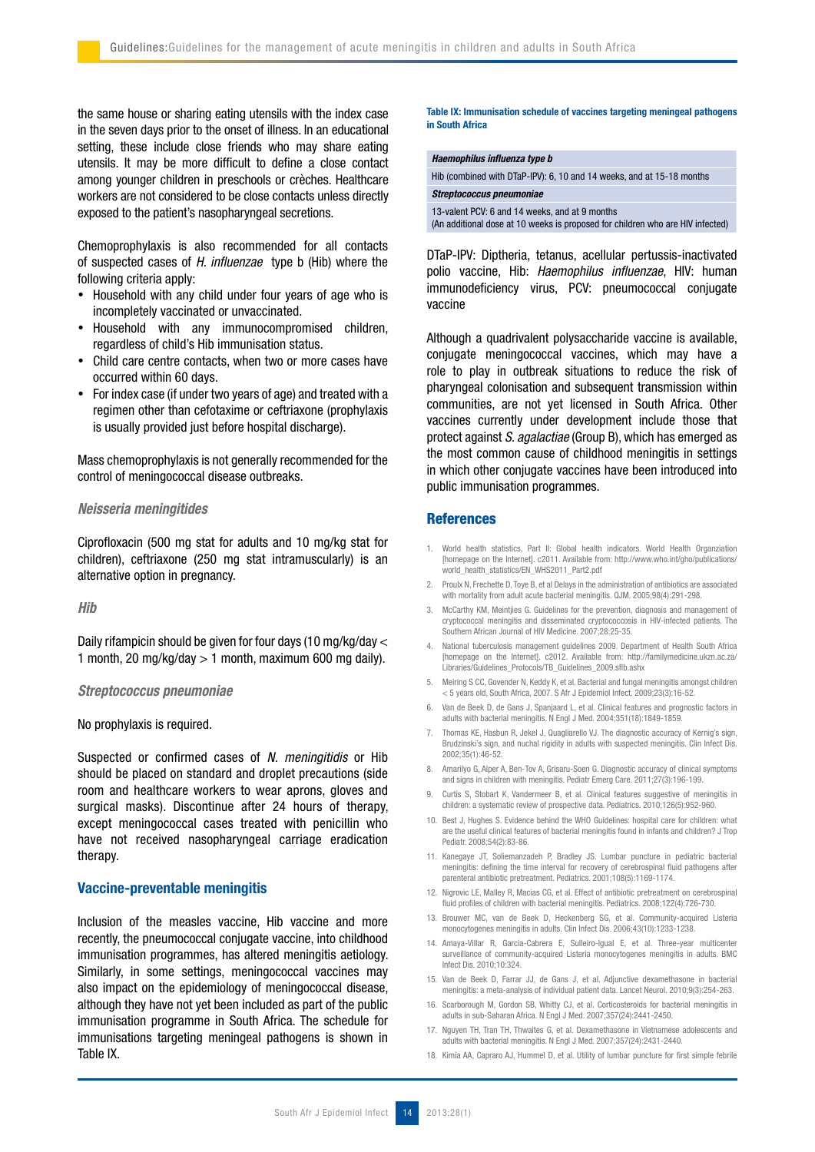the same house or sharing eating utensils with the index case in the seven days prior to the onset of illness. In an educational setting, these include close friends who may share eating utensils. It may be more difficult to define a close contact among younger children in preschools or crèches. Healthcare workers are not considered to be close contacts unless directly exposed to the patient's nasopharyngeal secretions.

Chemoprophylaxis is also recommended for all contacts of suspected cases of H. influenzae type b (Hib) where the following criteria apply:

- Household with any child under four years of age who is incompletely vaccinated or unvaccinated.
- Household with any immunocompromised children, regardless of child's Hib immunisation status.
- Child care centre contacts, when two or more cases have occurred within 60 days.
- For index case (if under two years of age) and treated with a regimen other than cefotaxime or ceftriaxone (prophylaxis is usually provided just before hospital discharge).

Mass chemoprophylaxis is not generally recommended for the control of meningococcal disease outbreaks.

## Neisseria meningitides

Ciprofloxacin (500 mg stat for adults and 10 mg/kg stat for children), ceftriaxone (250 mg stat intramuscularly) is an alternative option in pregnancy.

Hib

Daily rifampicin should be given for four days (10 mg/kg/day < 1 month, 20 mg/kg/day  $> 1$  month, maximum 600 mg daily).

#### Streptococcus pneumoniae

#### No prophylaxis is required.

Suspected or confirmed cases of N. meningitidis or Hib should be placed on standard and droplet precautions (side room and healthcare workers to wear aprons, gloves and surgical masks). Discontinue after 24 hours of therapy, except meningococcal cases treated with penicillin who have not received nasopharyngeal carriage eradication therapy.

## Vaccine-preventable meningitis

Inclusion of the measles vaccine, Hib vaccine and more recently, the pneumococcal conjugate vaccine, into childhood immunisation programmes, has altered meningitis aetiology. Similarly, in some settings, meningococcal vaccines may also impact on the epidemiology of meningococcal disease, although they have not yet been included as part of the public immunisation programme in South Africa. The schedule for immunisations targeting meningeal pathogens is shown in Table IX.

#### Table IX: Immunisation schedule of vaccines targeting meningeal pathogens in South Africa

## Haemophilus influenza type b

Hib (combined with DTaP-IPV): 6, 10 and 14 weeks, and at 15-18 months

Streptococcus pneumoniae

13-valent PCV: 6 and 14 weeks, and at 9 months

(An additional dose at 10 weeks is proposed for children who are HIV infected)

DTaP-IPV: Diptheria, tetanus, acellular pertussis-inactivated polio vaccine, Hib: Haemophilus influenzae, HIV: human immunodeficiency virus, PCV: pneumococcal conjugate vaccine

Although a quadrivalent polysaccharide vaccine is available, conjugate meningococcal vaccines, which may have a role to play in outbreak situations to reduce the risk of pharyngeal colonisation and subsequent transmission within communities, are not yet licensed in South Africa. Other vaccines currently under development include those that protect against S. agalactiae (Group B), which has emerged as the most common cause of childhood meningitis in settings in which other conjugate vaccines have been introduced into public immunisation programmes.

## **References**

- 1. World health statistics, Part II: Global health indicators. World Health Organziation [homepage on the Internet]. c2011. Available from: http://www.who.int/gho/publications/ world\_health\_statistics/EN\_WHS2011\_Part2.pdf
- 2. Proulx N, Frechette D, Toye B, et al Delays in the administration of antibiotics are associated with mortality from adult acute bacterial meningitis. QJM. 2005;98(4):291-298.
- 3. McCarthy KM, Meintjies G. Guidelines for the prevention, diagnosis and management of cryptococcal meningitis and disseminated cryptococcosis in HIV-infected patients. The Southern African Journal of HIV Medicine. 2007;28:25-35.
- 4. National tuberculosis management guidelines 2009. Department of Health South Africa [homepage on the Internet]. c2012. Available from: http://familymedicine.ukzn.ac.za/ Libraries/Guidelines\_Protocols/TB\_Guidelines\_2009.sflb.ash>
- 5. Meiring S CC, Govender N, Keddy K, et al. Bacterial and fungal meningitis amongst children < 5 years old, South Africa, 2007. S Afr J Epidemiol Infect. 2009;23(3):16-52.
- 6. Van de Beek D, de Gans J, Spanjaard L, et al. Clinical features and prognostic factors in adults with bacterial meningitis. N Engl J Med. 2004;351(18):1849-1859.
- 7. Thomas KE, Hasbun R, Jekel J, Quagliarello VJ. The diagnostic accuracy of Kernig's sign, Brudzinski's sign, and nuchal rigidity in adults with suspected meningitis. Clin Infect Dis. 2002;35(1):46-52.
- 8. Amarilyo G, Alper A, Ben-Tov A, Grisaru-Soen G. Diagnostic accuracy of clinical symptoms and signs in children with meningitis. Pediatr Emerg Care. 2011;27(3):196-199.
- 9. Curtis S, Stobart K, Vandermeer B, et al. Clinical features suggestive of meningitis in children: a systematic review of prospective data. Pediatrics. 2010;126(5):952-960.
- 10. Best J, Hughes S. Evidence behind the WHO Guidelines: hospital care for children: what are the useful clinical features of bacterial meningitis found in infants and children? J Trop Pediatr. 2008;54(2):83-86.
- 11. Kanegaye JT, Soliemanzadeh P, Bradley JS. Lumbar puncture in pediatric bacterial meningitis: defining the time interval for recovery of cerebrospinal fluid pathogens after parenteral antibiotic pretreatment. Pediatrics. 2001;108(5):1169-1174.
- 12. Nigrovic LE, Malley R, Macias CG, et al. Effect of antibiotic pretreatment on cerebrospinal fluid profiles of children with bacterial meningitis. Pediatrics. 2008;122(4):726-730.
- 13. Brouwer MC, van de Beek D, Heckenberg SG, et al. Community-acquired Listeria monocytogenes meningitis in adults. Clin Infect Dis. 2006;43(10):1233-1238.
- 14. Amaya-Villar R, Garcia-Cabrera E, Sulleiro-Igual E, et al. Three-year multicenter surveillance of community-acquired Listeria monocytogenes meningitis in adults. BMC Infect Dis. 2010;10:324.
- 15. Van de Beek D, Farrar JJ, de Gans J, et al. Adjunctive dexamethasone in bacterial meningitis: a meta-analysis of individual patient data. Lancet Neurol. 2010;9(3):254-263.
- 16. Scarborough M, Gordon SB, Whitty CJ, et al. Corticosteroids for bacterial meningitis in adults in sub-Saharan Africa. N Engl J Med. 2007;357(24):2441-2450.
- 17. Nguyen TH, Tran TH, Thwaites G, et al. Dexamethasone in Vietnamese adolescents and adults with bacterial meningitis. N Engl J Med. 2007;357(24):2431-2440.
- 18. Kimia AA, Capraro AJ, Hummel D, et al. Utility of lumbar puncture for first simple febrile